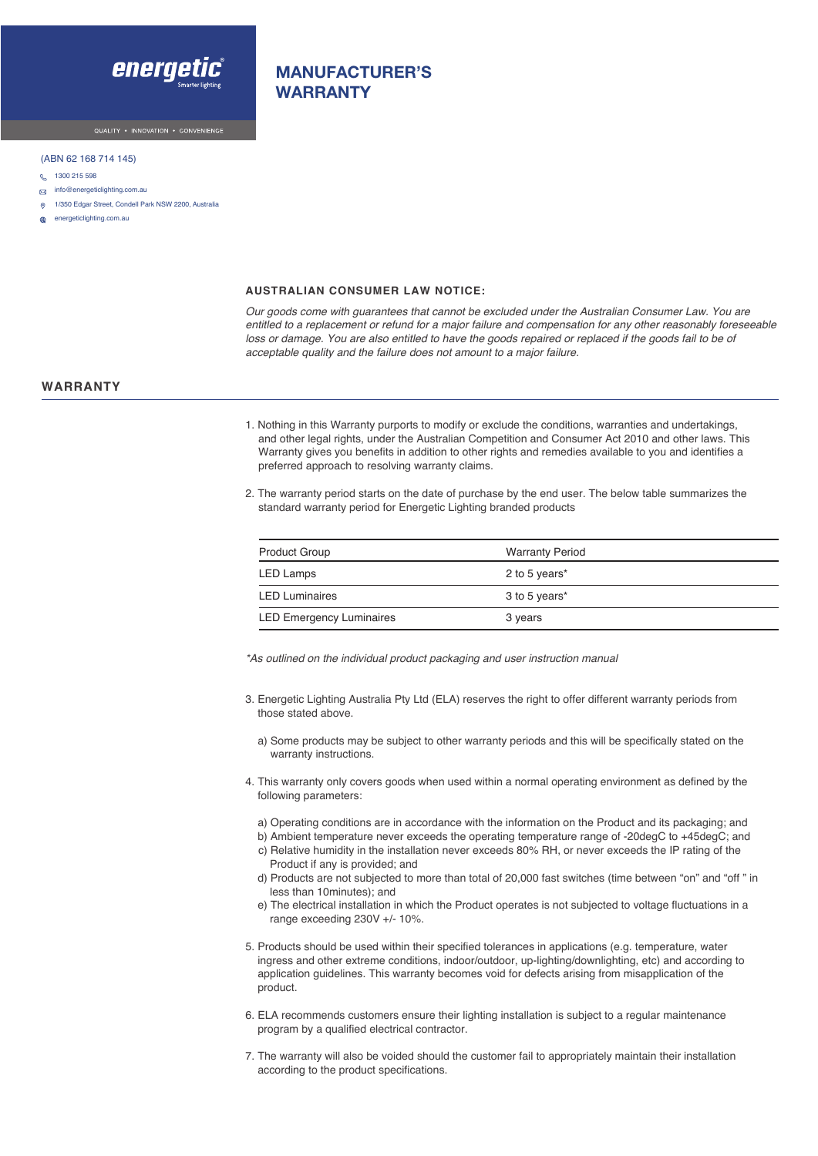

# MANUFACTURER'S WARRANTY

#### (ABN 62 168 714 145)

- 0 1300 215 598
- $\Box$  info@energeticlighting.com.au
- 1/350 Edgar Street, Condell Park NSW 2200, Australia
- energeticlighting.com.au

#### **AUSTRALIAN CONSUMER LAW NOTICE:**

*Our goods come with guarantees that cannot be excluded under the Australian Consumer Law. You are entitled to a replacement or refund for a major failure and compensation for any other reasonably foreseeable*  loss or damage. You are also entitled to have the goods repaired or replaced if the goods fail to be of *acceptable quality and the failure does not amount to a major failure.*

### **WARRANTY**

- 1. Nothing in this Warranty purports to modify or exclude the conditions, warranties and undertakings, and other legal rights, under the Australian Competition and Consumer Act 2010 and other laws. This Warranty gives you benefits in addition to other rights and remedies available to you and identifies a preferred approach to resolving warranty claims.
- 2. The warranty period starts on the date of purchase by the end user. The below table summarizes the standard warranty period for Energetic Lighting branded products

| <b>Product Group</b>            | <b>Warranty Period</b> |
|---------------------------------|------------------------|
| LED Lamps                       | 2 to 5 years*          |
| <b>LED Luminaires</b>           | 3 to 5 years*          |
| <b>LED Emergency Luminaires</b> | 3 years                |

*\*As outlined on the individual product packaging and user* instruction *manual*

- 3. Energetic Lighting Australia Pty Ltd (ELA) reserves the right to offer different warranty periods from those stated above.
	- a) Some products may be subject to other warranty periods and this will be specifically stated on the warranty instructions.
- 4. This warranty only covers goods when used within a normal operating environment as defined by the following parameters:
	- a) Operating conditions are in accordance with the information on the Product and its packaging; and
	- b) Ambient temperature never exceeds the operating temperature range of -20degC to +45degC; and
	- c) Relative humidity in the installation never exceeds 80% RH, or never exceeds the IP rating of the Product if any is provided; and
	- d) Products are not subjected to more than total of 20,000 fast switches (time between "on" and "off " in less than 10minutes); and
	- e) The electrical installation in which the Product operates is not subjected to voltage fluctuations in a range exceeding 230V +/- 10%.
- 5. Products should be used within their specified tolerances in applications (e.g. temperature, water ingress and other extreme conditions, indoor/outdoor, up-lighting/downlighting, etc) and according to application guidelines. This warranty becomes void for defects arising from misapplication of the product.
- 6. ELA recommends customers ensure their lighting installation is subject to a regular maintenance program by a qualified electrical contractor.
- 7. The warranty will also be voided should the customer fail to appropriately maintain their installation according to the product specifications.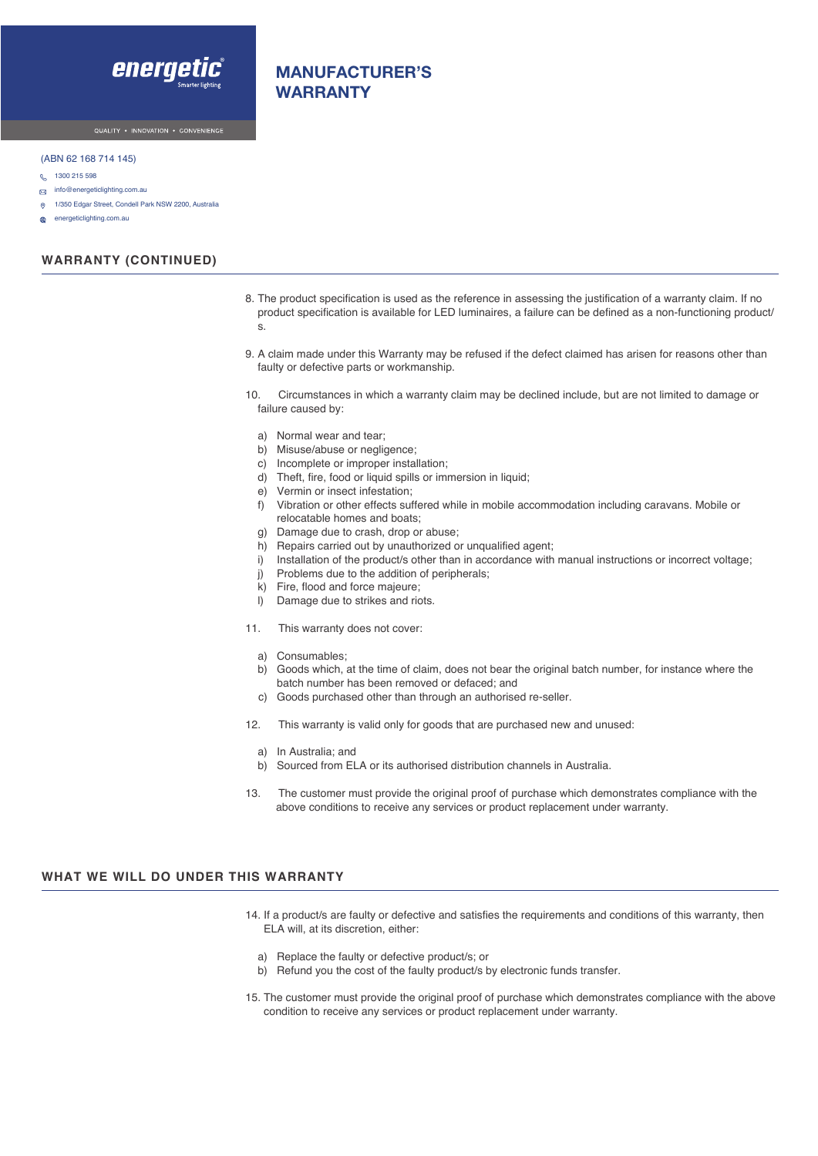

# MANUFACTURER'S WARRANTY

#### (ABN 62 168 714 145)

- 0 1300 215 598
- $\Box$  info@energeticlighting.com.au
- 1/350 Edgar Street, Condell Park NSW 2200, Australia  $\odot$
- æ energeticlighting.com.au

## **WARRANTY (CONTINUED)**

- 8. The product specification is used as the reference in assessing the justification of a warranty claim. If no product specification is available for LED luminaires, a failure can be defined as a non-functioning product/ s.
- 9. A claim made under this Warranty may be refused if the defect claimed has arisen for reasons other than faulty or defective parts or workmanship.
- 10. Circumstances in which a warranty claim may be declined include, but are not limited to damage or failure caused by:
	- a) Normal wear and tear;
	- b) Misuse/abuse or negligence;
	- c) Incomplete or improper installation;
	- d) Theft, fire, food or liquid spills or immersion in liquid;
	- e) Vermin or insect infestation;
	- f) Vibration or other effects suffered while in mobile accommodation including caravans. Mobile or relocatable homes and boats;
	- g) Damage due to crash, drop or abuse;
	- h) Repairs carried out by unauthorized or unqualified agent;
	- i) Installation of the product/s other than in accordance with manual instructions or incorrect voltage;
	- j) Problems due to the addition of peripherals;
	- k) Fire, flood and force majeure;
	- l) Damage due to strikes and riots.
- 11. This warranty does not cover:
	- a) Consumables;
	- b) Goods which, at the time of claim, does not bear the original batch number, for instance where the batch number has been removed or defaced; and
	- c) Goods purchased other than through an authorised re-seller.
- 12. This warranty is valid only for goods that are purchased new and unused:
	- a) In Australia; and
- b) Sourced from ELA or its authorised distribution channels in Australia.
- 13. The customer must provide the original proof of purchase which demonstrates compliance with the above conditions to receive any services or product replacement under warranty.

### **WHAT WE WILL DO UNDER THIS WARRANTY**

- 14. If a product/s are faulty or defective and satisfies the requirements and conditions of this warranty, then ELA will, at its discretion, either:
	- a) Replace the faulty or defective product/s; or
	- b) Refund you the cost of the faulty product/s by electronic funds transfer.
- 15. The customer must provide the original proof of purchase which demonstrates compliance with the above condition to receive any services or product replacement under warranty.